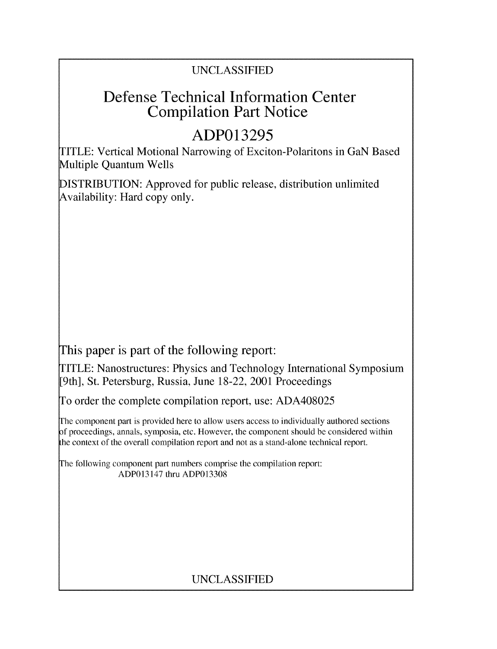### UNCLASSIFIED

## **Defense Technical Information Center Compilation Part Notice**

# **ADP013295**

TITLE: Vertical Motional Narrowing of Exciton-Polaritons in GaN Based Multiple Quantum Wells

DISTRIBUTION: Approved for public release, distribution unlimited Availability: Hard copy only.

This paper is part of the following report:

TITLE: Nanostructures: Physics and Technology International Symposium [9th], St. Petersburg, Russia, June 18-22, 2001 Proceedings

To order the complete compilation report, use: ADA408025

The component part is provided here to allow users access to individually authored sections f proceedings, annals, symposia, etc. However, the component should be considered within the context of the overall compilation report and not as a stand-alone technical report.

The following component part numbers comprise the compilation report: ADP013147 thru ADP013308

## UNCLASSIFIED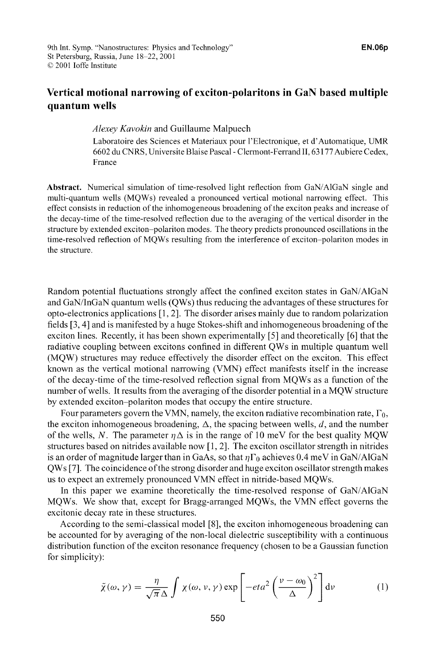### **Vertical motional narrowing of exciton-polaritons in GaN based multiple quantum wells**

*Alexey Kavokin* and Guillaume Malpuech

Laboratoire des Sciences et Materiaux pour l'Electronique, et d'Automatique, UMR 6602 du CNRS, Universite Blaise Pascal - Clermont-Ferrand **11,** 63177 Aubiere Cedex, France

**Abstract.** Numerical simulation of time-resolved light reflection from GaN/AlGaN single and multi-quantum wells (MQWs) revealed a pronounced vertical motional narrowing effect. This effect consists in reduction of the inhomogeneous broadening of the exciton peaks and increase of the decay-time of the time-resolved reflection due to the averaging of the vertical disorder in the structure by extended exciton-polariton modes. The theory predicts pronounced oscillations in the time-resolved reflection of MQWs resulting from the interference of exciton-polariton modes in the structure.

Random potential fluctuations strongly affect the confined exciton states in GaN/AlGaN and GaN/InGaN quantum wells (QWs) thus reducing the advantages of these structures for opto-electronics applications [1, 2]. The disorder arises mainly due to random polarization fields [3, 4] and is manifested by a huge Stokes-shift and inhomogeneous broadening of the exciton lines. Recently, it has been shown experimentally **[5]** and theoretically **[6]** that the radiative coupling between excitons confined in different QWs in multiple quantum well (MQW) structures may reduce effectively the disorder effect on the exciton. This effect known as the vertical motional narrowing (VMN) effect manifests itself in the increase of the decay-time of the time-resolved reflection signal from MQWs as a function of the number of wells. It results from the averaging of the disorder potential in a MQW structure by extended exciton-polariton modes that occupy the entire structure.

Four parameters govern the VMN, namely, the exciton radiative recombination rate,  $\Gamma_0$ , the exciton inhomogeneous broadening,  $\Delta$ , the spacing between wells,  $d$ , and the number of the wells, N. The parameter  $\eta \Delta$  is in the range of 10 meV for the best quality MQW structures based on nitrides available now [1, 2]. The exciton oscillator strength in nitrides is an order of magnitude larger than in GaAs, so that  $\eta \Gamma_0$  achieves 0.4 meV in GaN/AlGaN QWs [7]. The coincidence of the strong disorder and huge exciton oscillator strength makes us to expect an extremely pronounced VMN effect in nitride-based MQWs.

In this paper we examine theoretically the time-resolved response of GaN/AlGaN MQWs. We show that, except for Bragg-arranged MQWs, the VMN effect governs the excitonic decay rate in these structures.

According to the semi-classical model [8], the exciton inhomogeneous broadening can be accounted for by averaging of the non-local dielectric susceptibility with a continuous distribution function of the exciton resonance frequency (chosen to be a Gaussian function for simplicity):

$$
\tilde{\chi}(\omega,\gamma) = \frac{\eta}{\sqrt{\pi}\,\Delta} \int \chi(\omega,\nu,\gamma) \exp\left[-eta^2 \left(\frac{\nu - \omega_0}{\Delta}\right)^2\right] d\nu \tag{1}
$$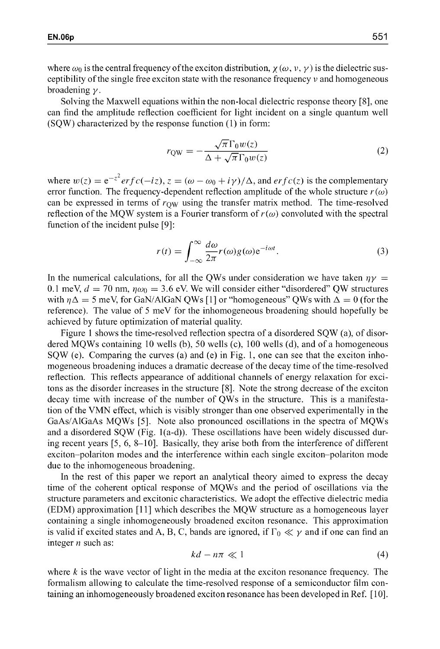where  $\omega_0$  is the central frequency of the exciton distribution,  $\chi(\omega, \nu, \gamma)$  is the dielectric susceptibility of the single free exciton state with the resonance frequency  $\nu$  and homogeneous broadening **y.**

Solving the Maxwell equations within the non-local dielectric response theory [8], one can find the amplitude reflection coefficient for light incident on a single quantum well (SQW) characterized by the response function (1) in form:

$$
r_{\rm QW} = -\frac{\sqrt{\pi} \Gamma_0 w(z)}{\Delta + \sqrt{\pi} \Gamma_0 w(z)}\tag{2}
$$

where  $w(z) = e^{-z^2} erf c(-iz), z = (\omega - \omega_0 + i\gamma)/\Delta$ , and  $erfc(z)$  is the complementary error function. The frequency-dependent reflection amplitude of the whole structure  $r(\omega)$ can be expressed in terms of  $r_{\text{OW}}$  using the transfer matrix method. The time-resolved reflection of the MQW system is a Fourier transform of  $r(\omega)$  convoluted with the spectral function of the incident pulse **[9]:**

$$
r(t) = \int_{-\infty}^{\infty} \frac{d\omega}{2\pi} r(\omega) g(\omega) e^{-i\omega t}.
$$
 (3)

In the numerical calculations, for all the QWs under consideration we have taken  $\eta y =$ 0.1 meV,  $d = 70$  nm,  $\eta \omega_0 = 3.6$  eV. We will consider either "disordered" QW structures with  $\eta \Delta = 5$  meV, for GaN/AlGaN QWs [1] or "homogeneous" QWs with  $\Delta = 0$  (for the reference). The value of 5 meV for the inhomogeneous broadening should hopefully be achieved by future optimization of material quality.

Figure 1 shows the time-resolved reflection spectra of a disordered SQW (a), of disordered MQWs containing 10 wells (b), 50 wells (c), 100 wells (d), and of a homogeneous SQW (e). Comparing the curves (a) and (e) in Fig. 1, one can see that the exciton inhomogeneous broadening induces a dramatic decrease of the decay time of the time-resolved reflection. This reflects appearance of additional channels of energy relaxation for excitons as the disorder increases in the structure [8]. Note the strong decrease of the exciton decay time with increase of the number of QWs in the structure. This is a manifestation of the VMN effect, which is visibly stronger than one observed experimentally in the GaAs/AlGaAs MQWs [5]. Note also pronounced oscillations in the spectra of MQWs and a disordered SQW (Fig. 1(a-d)). These oscillations have been widely discussed during recent years [5, 6, **8-10].** Basically, they arise both from the interference of different exciton-polariton modes and the interference within each single exciton-polariton mode due to the inhomogeneous broadening.

In the rest of this paper we report an analytical theory aimed to express the decay time of the coherent optical response of MQWs and the period of oscillations via the structure parameters and excitonic characteristics. We adopt the effective dielectric media (EDM) approximation [11] which describes the MQW structure as a homogeneous layer containing a single inhomogeneously broadened exciton resonance. This approximation is valid if excited states and A, B, C, bands are ignored, if  $\Gamma_0 \ll \gamma$  and if one can find an integer *n* such as:

$$
kd - n\pi \ll 1\tag{4}
$$

where *k* is the wave vector of light in the media at the exciton resonance frequency. The formalism allowing to calculate the time-resolved response of a semiconductor film containing an inhomogeneously broadened exciton resonance has been developed in Ref. **[10].**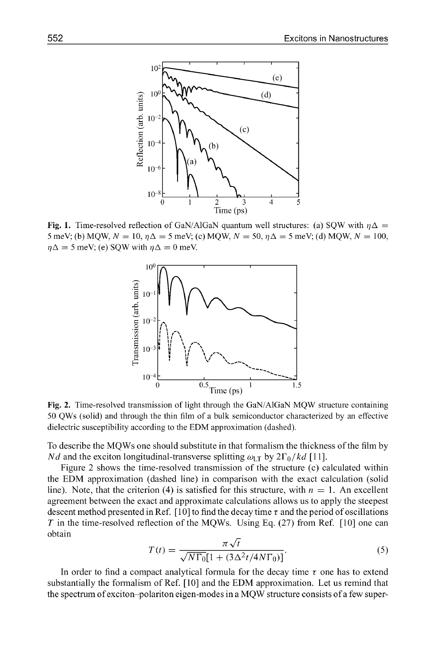

**Fig. 1.** Time-resolved reflection of GaN/AlGaN quantum well structures: (a) SQW with  $\eta \Delta$  = 5 meV; (b) MQW,  $N = 10$ ,  $\eta \Delta = 5$  meV; (c) MQW,  $N = 50$ ,  $\eta \Delta = 5$  meV; (d) MQW,  $N = 100$ ,  $\eta \Delta = 5$  meV; (e) SQW with  $\eta \Delta = 0$  meV.



**Fig. 2.** Time-resolved transmission of light through the GaN/AlGaN MQW structure containing 50 QWs (solid) and through the thin film of a bulk semiconductor characterized by an effective dielectric susceptibility according to the EDM approximation (dashed).

To describe the MQWs one should substitute in that formalism the thickness of the film by *Nd* and the exciton longitudinal-transverse splitting  $\omega_{LT}$  by  $2\Gamma_0 / k d$  [11].

Figure 2 shows the time-resolved transmission of the structure (c) calculated within the EDM approximation (dashed line) in comparison with the exact calculation (solid line). Note, that the criterion (4) is satisfied for this structure, with  $n = 1$ . An excellent agreement between the exact and approximate calculations allows us to apply the steepest descent method presented in Ref.  $[10]$  to find the decay time  $\tau$  and the period of oscillations *T* in the time-resolved reflection of the MQWs. Using Eq. (27) from Ref. [10] one can obtain

$$
T(t) = \frac{\pi \sqrt{t}}{\sqrt{N\Gamma_0}[1 + (3\Delta^2 t/4N\Gamma_0)]}.
$$
 (5)

In order to find a compact analytical formula for the decay time  $\tau$  one has to extend substantially the formalism of Ref. [10] and the EDM approximation. Let us remind that the spectrum of exciton-polariton eigen-modes in a MQW structure consists of a few super